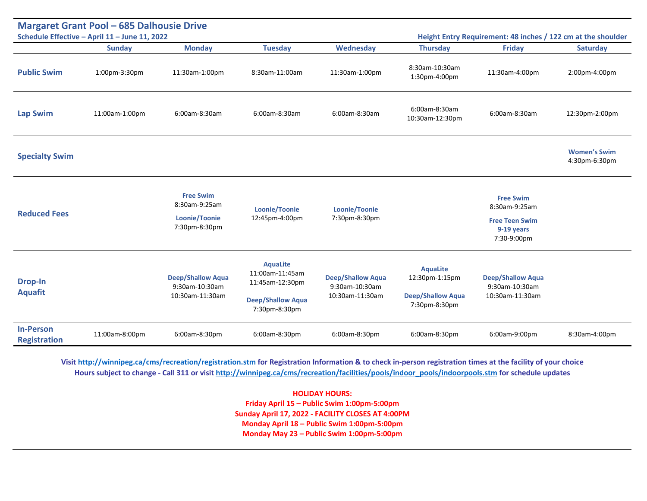| <b>Margaret Grant Pool - 685 Dalhousie Drive</b><br>Schedule Effective - April 11 - June 11, 2022<br>Height Entry Requirement: 48 inches / 122 cm at the shoulder |                |                                                                     |                                                                                                    |                                                               |                                                                                |                                                                                         |                                      |
|-------------------------------------------------------------------------------------------------------------------------------------------------------------------|----------------|---------------------------------------------------------------------|----------------------------------------------------------------------------------------------------|---------------------------------------------------------------|--------------------------------------------------------------------------------|-----------------------------------------------------------------------------------------|--------------------------------------|
|                                                                                                                                                                   | <b>Sunday</b>  | <b>Monday</b>                                                       | <b>Tuesday</b>                                                                                     | <b>Wednesday</b>                                              | <b>Thursday</b>                                                                | <b>Friday</b>                                                                           | <b>Saturday</b>                      |
| <b>Public Swim</b>                                                                                                                                                | 1:00pm-3:30pm  | 11:30am-1:00pm                                                      | 8:30am-11:00am                                                                                     | 11:30am-1:00pm                                                | 8:30am-10:30am<br>1:30pm-4:00pm                                                | 11:30am-4:00pm                                                                          | 2:00pm-4:00pm                        |
| <b>Lap Swim</b>                                                                                                                                                   | 11:00am-1:00pm | 6:00am-8:30am                                                       | 6:00am-8:30am                                                                                      | 6:00am-8:30am                                                 | 6:00am-8:30am<br>10:30am-12:30pm                                               | 6:00am-8:30am                                                                           | 12:30pm-2:00pm                       |
| <b>Specialty Swim</b>                                                                                                                                             |                |                                                                     |                                                                                                    |                                                               |                                                                                |                                                                                         | <b>Women's Swim</b><br>4:30pm-6:30pm |
| <b>Reduced Fees</b>                                                                                                                                               |                | <b>Free Swim</b><br>8:30am-9:25am<br>Loonie/Toonie<br>7:30pm-8:30pm | Loonie/Toonie<br>12:45pm-4:00pm                                                                    | Loonie/Toonie<br>7:30pm-8:30pm                                |                                                                                | <b>Free Swim</b><br>8:30am-9:25am<br><b>Free Teen Swim</b><br>9-19 years<br>7:30-9:00pm |                                      |
| <b>Drop-In</b><br><b>Aquafit</b>                                                                                                                                  |                | <b>Deep/Shallow Aqua</b><br>9:30am-10:30am<br>10:30am-11:30am       | <b>AquaLite</b><br>11:00am-11:45am<br>11:45am-12:30pm<br><b>Deep/Shallow Aqua</b><br>7:30pm-8:30pm | <b>Deep/Shallow Aqua</b><br>9:30am-10:30am<br>10:30am-11:30am | <b>AquaLite</b><br>12:30pm-1:15pm<br><b>Deep/Shallow Aqua</b><br>7:30pm-8:30pm | <b>Deep/Shallow Aqua</b><br>9:30am-10:30am<br>10:30am-11:30am                           |                                      |
| <b>In-Person</b><br><b>Registration</b>                                                                                                                           | 11:00am-8:00pm | 6:00am-8:30pm                                                       | 6:00am-8:30pm                                                                                      | 6:00am-8:30pm                                                 | 6:00am-8:30pm                                                                  | 6:00am-9:00pm                                                                           | 8:30am-4:00pm                        |

**Visi[t http://winnipeg.ca/cms/recreation/registration.stm](http://winnipeg.ca/cms/recreation/registration.stm) for Registration Information & to check in-person registration times at the facility of your choice Hours subject to change - Call 311 or visit [http://winnipeg.ca/cms/recreation/facilities/pools/indoor\\_pools/indoorpools.stm](http://winnipeg.ca/cms/recreation/facilities/pools/indoor_pools/indoorpools.stm) for schedule updates**

> **HOLIDAY HOURS: Friday April 15 – Public Swim 1:00pm-5:00pm Sunday April 17, 2022 - FACILITY CLOSES AT 4:00PM Monday April 18 – Public Swim 1:00pm-5:00pm Monday May 23 – Public Swim 1:00pm-5:00pm**